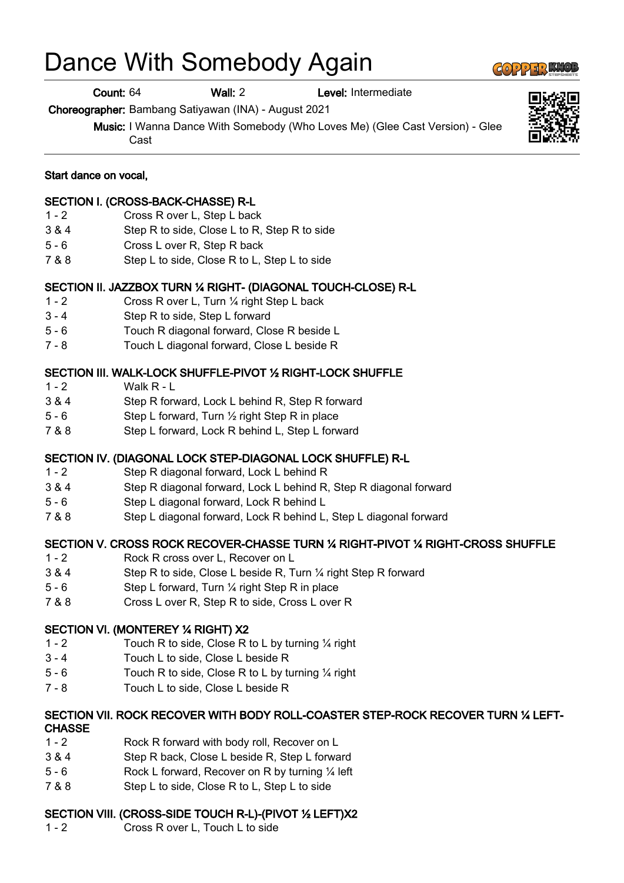# Dance With Somebody Again

Count: 64 Wall: 2 Level: Intermediate

Choreographer: Bambang Satiyawan (INA) - August 2021

Music: I Wanna Dance With Somebody (Who Loves Me) (Glee Cast Version) - Glee Cast

## Start dance on vocal,

## SECTION I. (CROSS-BACK-CHASSE) R-L

- 1 2 Cross R over L, Step L back
- 3 & 4 Step R to side, Close L to R, Step R to side
- 5 6 Cross L over R, Step R back
- 7 & 8 Step L to side, Close R to L, Step L to side

#### SECTION II. JAZZBOX TURN ¼ RIGHT- (DIAGONAL TOUCH-CLOSE) R-L

- 1 2 Cross R over L, Turn ¼ right Step L back
- 3 4 Step R to side, Step L forward
- 5 6 Touch R diagonal forward, Close R beside L
- 7 8 Touch L diagonal forward, Close L beside R

#### SECTION III. WALK-LOCK SHUFFLE-PIVOT ½ RIGHT-LOCK SHUFFLE

- $1 2$  Walk R L
- 3 & 4 Step R forward, Lock L behind R, Step R forward
- 5 6 Step L forward, Turn ½ right Step R in place
- 7 & 8 Step L forward, Lock R behind L, Step L forward

#### SECTION IV. (DIAGONAL LOCK STEP-DIAGONAL LOCK SHUFFLE) R-L

- 1 2 Step R diagonal forward, Lock L behind R
- 3 & 4 Step R diagonal forward, Lock L behind R, Step R diagonal forward
- 5 6 Step L diagonal forward, Lock R behind L
- 7 & 8 Step L diagonal forward, Lock R behind L, Step L diagonal forward

## SECTION V. CROSS ROCK RECOVER-CHASSE TURN ¼ RIGHT-PIVOT ¼ RIGHT-CROSS SHUFFLE

- 1 2 Rock R cross over L, Recover on L
- 3 & 4 Step R to side, Close L beside R, Turn ¼ right Step R forward
- 5 6 Step L forward, Turn ¼ right Step R in place
- 7 & 8 Cross L over R, Step R to side, Cross L over R

#### SECTION VI. (MONTEREY ¼ RIGHT) X2

- 1 2 Touch R to side, Close R to L by turning ¼ right
- 3 4 Touch L to side, Close L beside R
- 5 6 Touch R to side, Close R to L by turning ¼ right
- 7 8 Touch L to side, Close L beside R

#### SECTION VII. ROCK RECOVER WITH BODY ROLL-COASTER STEP-ROCK RECOVER TURN ¼ LEFT-**CHASSE**

- 1 2 Rock R forward with body roll, Recover on L
- 3 & 4 Step R back, Close L beside R, Step L forward
- 5 6 Rock L forward, Recover on R by turning ¼ left
- 7 & 8 Step L to side, Close R to L, Step L to side

# SECTION VIII. (CROSS-SIDE TOUCH R-L)-(PIVOT ½ LEFT)X2

1 - 2 Cross R over L, Touch L to side